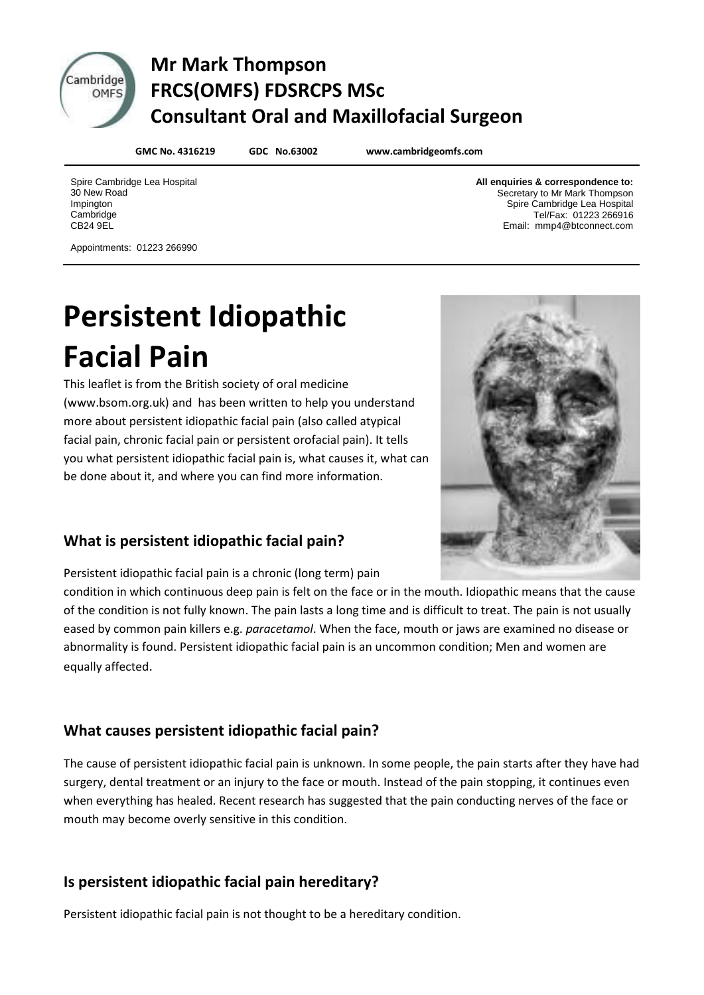

# **Cambridge Mr Mark Thompson DITIONED FRCS(OMFS) FDSRCPS MSc Consultant Oral and Maxillofacial Surgeon**

**GMC No. 4316219 GDC No.63002 www.cambridgeomfs.com**

Spire Cambridge Lea Hospital 30 New Road Impington **Cambridge** CB24 9EL

**All enquiries & correspondence to:** Secretary to Mr Mark Thompson Spire Cambridge Lea Hospital Tel/Fax: 01223 266916 Email: mmp4@btconnect.com

Appointments: 01223 266990

# **Persistent Idiopathic Facial Pain**

This leaflet is from the British society of oral medicine (www.bsom.org.uk) and has been written to help you understand more about persistent idiopathic facial pain (also called atypical facial pain, chronic facial pain or persistent orofacial pain). It tells you what persistent idiopathic facial pain is, what causes it, what can be done about it, and where you can find more information.



#### **What is persistent idiopathic facial pain?**

Persistent idiopathic facial pain is a chronic (long term) pain

condition in which continuous deep pain is felt on the face or in the mouth. Idiopathic means that the cause of the condition is not fully known. The pain lasts a long time and is difficult to treat. The pain is not usually eased by common pain killers e.g. *paracetamol*. When the face, mouth or jaws are examined no disease or abnormality is found. Persistent idiopathic facial pain is an uncommon condition; Men and women are equally affected.

# **What causes persistent idiopathic facial pain?**

The cause of persistent idiopathic facial pain is unknown. In some people, the pain starts after they have had surgery, dental treatment or an injury to the face or mouth. Instead of the pain stopping, it continues even when everything has healed. Recent research has suggested that the pain conducting nerves of the face or mouth may become overly sensitive in this condition.

# **Is persistent idiopathic facial pain hereditary?**

Persistent idiopathic facial pain is not thought to be a hereditary condition.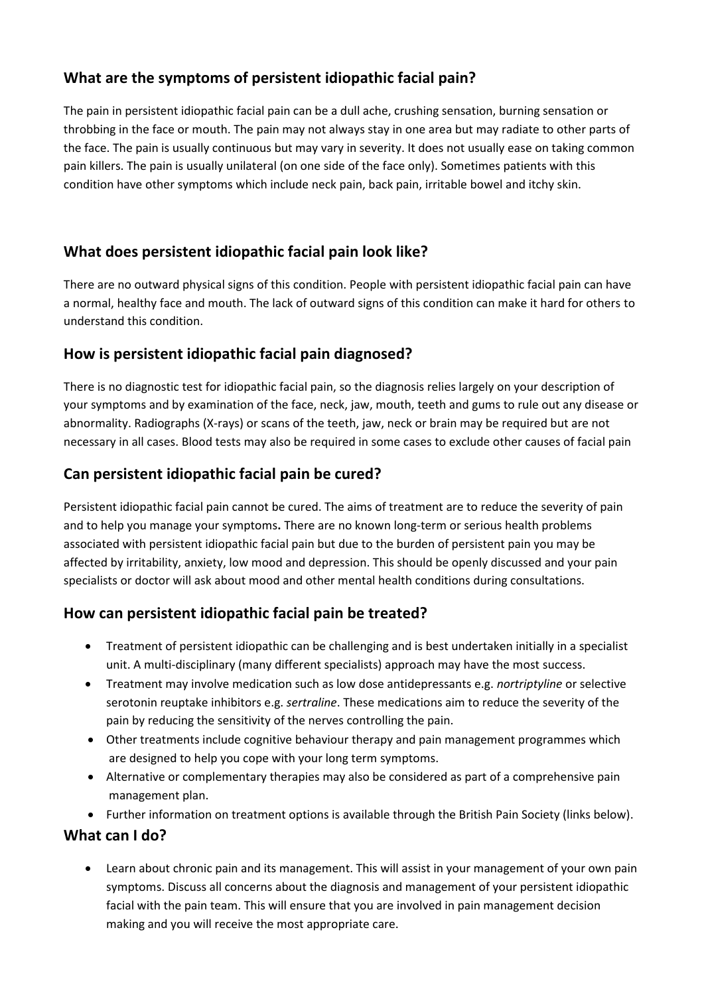# **What are the symptoms of persistent idiopathic facial pain?**

The pain in persistent idiopathic facial pain can be a dull ache, crushing sensation, burning sensation or throbbing in the face or mouth. The pain may not always stay in one area but may radiate to other parts of the face. The pain is usually continuous but may vary in severity. It does not usually ease on taking common pain killers. The pain is usually unilateral (on one side of the face only). Sometimes patients with this condition have other symptoms which include neck pain, back pain, irritable bowel and itchy skin.

## **What does persistent idiopathic facial pain look like?**

There are no outward physical signs of this condition. People with persistent idiopathic facial pain can have a normal, healthy face and mouth. The lack of outward signs of this condition can make it hard for others to understand this condition.

#### **How is persistent idiopathic facial pain diagnosed?**

There is no diagnostic test for idiopathic facial pain, so the diagnosis relies largely on your description of your symptoms and by examination of the face, neck, jaw, mouth, teeth and gums to rule out any disease or abnormality. Radiographs (X-rays) or scans of the teeth, jaw, neck or brain may be required but are not necessary in all cases. Blood tests may also be required in some cases to exclude other causes of facial pain

## **Can persistent idiopathic facial pain be cured?**

Persistent idiopathic facial pain cannot be cured. The aims of treatment are to reduce the severity of pain and to help you manage your symptoms**.** There are no known long-term or serious health problems associated with persistent idiopathic facial pain but due to the burden of persistent pain you may be affected by irritability, anxiety, low mood and depression. This should be openly discussed and your pain specialists or doctor will ask about mood and other mental health conditions during consultations.

# **How can persistent idiopathic facial pain be treated?**

- Treatment of persistent idiopathic can be challenging and is best undertaken initially in a specialist unit. A multi-disciplinary (many different specialists) approach may have the most success.
- Treatment may involve medication such as low dose antidepressants e.g. *nortriptyline* or selective serotonin reuptake inhibitors e.g. *sertraline*. These medications aim to reduce the severity of the pain by reducing the sensitivity of the nerves controlling the pain.
- Other treatments include cognitive behaviour therapy and pain management programmes which are designed to help you cope with your long term symptoms.
- Alternative or complementary therapies may also be considered as part of a comprehensive pain management plan.
- Further information on treatment options is available through the British Pain Society (links below).

#### **What can I do?**

 Learn about chronic pain and its management. This will assist in your management of your own pain symptoms. Discuss all concerns about the diagnosis and management of your persistent idiopathic facial with the pain team. This will ensure that you are involved in pain management decision making and you will receive the most appropriate care.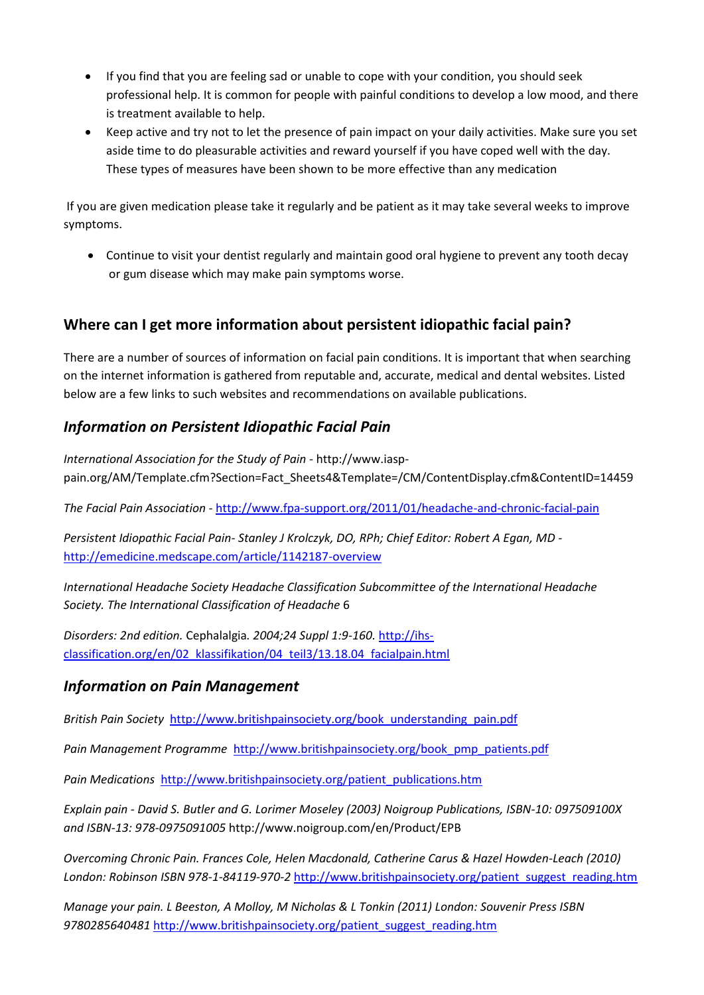- If you find that you are feeling sad or unable to cope with your condition, you should seek professional help. It is common for people with painful conditions to develop a low mood, and there is treatment available to help.
- Keep active and try not to let the presence of pain impact on your daily activities. Make sure you set aside time to do pleasurable activities and reward yourself if you have coped well with the day. These types of measures have been shown to be more effective than any medication

If you are given medication please take it regularly and be patient as it may take several weeks to improve symptoms.

 Continue to visit your dentist regularly and maintain good oral hygiene to prevent any tooth decay or gum disease which may make pain symptoms worse.

#### **Where can I get more information about persistent idiopathic facial pain?**

There are a number of sources of information on facial pain conditions. It is important that when searching on the internet information is gathered from reputable and, accurate, medical and dental websites. Listed below are a few links to such websites and recommendations on available publications.

#### *Information on Persistent Idiopathic Facial Pain*

*International Association for the Study of Pain* - http://www.iasppain.org/AM/Template.cfm?Section=Fact\_Sheets4&Template=/CM/ContentDisplay.cfm&ContentID=14459

*The Facial Pain Association -* <http://www.fpa-support.org/2011/01/headache-and-chronic-facial-pain>

*Persistent Idiopathic Facial Pain- Stanley J Krolczyk, DO, RPh; Chief Editor: Robert A Egan, MD*  <http://emedicine.medscape.com/article/1142187-overview>

*International Headache Society Headache Classification Subcommittee of the International Headache Society. The International Classification of Headache* 6

*Disorders: 2nd edition.* Cephalalgia*. 2004;24 Suppl 1:9-160.* [http://ihs](http://ihs-classification.org/en/02_klassifikation/04_teil3/13.18.04_facialpain.html)[classification.org/en/02\\_klassifikation/04\\_teil3/13.18.04\\_facialpain.html](http://ihs-classification.org/en/02_klassifikation/04_teil3/13.18.04_facialpain.html)

#### *Information on Pain Management*

*British Pain Society* [http://www.britishpainsociety.org/book\\_understanding\\_pain.pdf](http://www.britishpainsociety.org/book_understanding_pain.pdf)

*Pain Management Programme* [http://www.britishpainsociety.org/book\\_pmp\\_patients.pdf](http://www.britishpainsociety.org/book_pmp_patients.pdf)

*Pain Medications* [http://www.britishpainsociety.org/patient\\_publications.htm](http://www.britishpainsociety.org/patient_publications.htm)

*Explain pain - David S. Butler and G. Lorimer Moseley (2003) Noigroup Publications, ISBN-10: 097509100X and ISBN-13: 978-0975091005* http://www.noigroup.com/en/Product/EPB

*Overcoming Chronic Pain. Frances Cole, Helen Macdonald, Catherine Carus & Hazel Howden-Leach (2010) London: Robinson ISBN 978-1-84119-970-2* [http://www.britishpainsociety.org/patient\\_suggest\\_reading.htm](http://www.britishpainsociety.org/patient_suggest_reading.htm)

*Manage your pain. L Beeston, A Molloy, M Nicholas & L Tonkin (2011) London: Souvenir Press ISBN 9780285640481* [http://www.britishpainsociety.org/patient\\_suggest\\_reading.htm](http://www.britishpainsociety.org/patient_suggest_reading.htm)